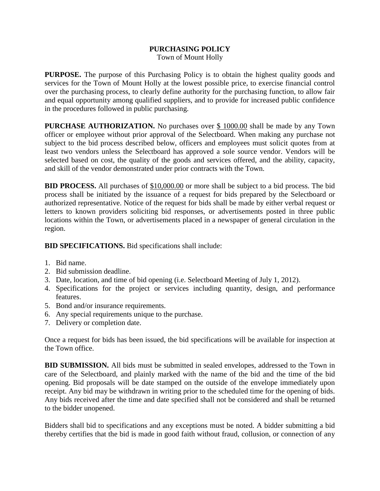## **PURCHASING POLICY** Town of Mount Holly

**PURPOSE.** The purpose of this Purchasing Policy is to obtain the highest quality goods and services for the Town of Mount Holly at the lowest possible price, to exercise financial control over the purchasing process, to clearly define authority for the purchasing function, to allow fair and equal opportunity among qualified suppliers, and to provide for increased public confidence in the procedures followed in public purchasing.

**PURCHASE AUTHORIZATION.** No purchases over \$ 1000.00 shall be made by any Town officer or employee without prior approval of the Selectboard. When making any purchase not subject to the bid process described below, officers and employees must solicit quotes from at least two vendors unless the Selectboard has approved a sole source vendor. Vendors will be selected based on cost, the quality of the goods and services offered, and the ability, capacity, and skill of the vendor demonstrated under prior contracts with the Town.

**BID PROCESS.** All purchases of \$10,000.00 or more shall be subject to a bid process. The bid process shall be initiated by the issuance of a request for bids prepared by the Selectboard or authorized representative. Notice of the request for bids shall be made by either verbal request or letters to known providers soliciting bid responses, or advertisements posted in three public locations within the Town, or advertisements placed in a newspaper of general circulation in the region.

**BID SPECIFICATIONS.** Bid specifications shall include:

- 1. Bid name.
- 2. Bid submission deadline.
- 3. Date, location, and time of bid opening (i.e. Selectboard Meeting of July 1, 2012).
- 4. Specifications for the project or services including quantity, design, and performance features.
- 5. Bond and/or insurance requirements.
- 6. Any special requirements unique to the purchase.
- 7. Delivery or completion date.

Once a request for bids has been issued, the bid specifications will be available for inspection at the Town office.

**BID SUBMISSION.** All bids must be submitted in sealed envelopes, addressed to the Town in care of the Selectboard, and plainly marked with the name of the bid and the time of the bid opening. Bid proposals will be date stamped on the outside of the envelope immediately upon receipt. Any bid may be withdrawn in writing prior to the scheduled time for the opening of bids. Any bids received after the time and date specified shall not be considered and shall be returned to the bidder unopened.

Bidders shall bid to specifications and any exceptions must be noted. A bidder submitting a bid thereby certifies that the bid is made in good faith without fraud, collusion, or connection of any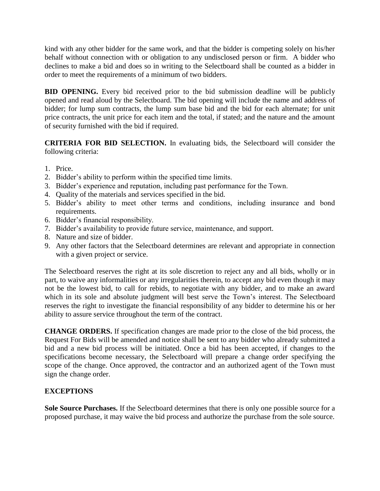kind with any other bidder for the same work, and that the bidder is competing solely on his/her behalf without connection with or obligation to any undisclosed person or firm. A bidder who declines to make a bid and does so in writing to the Selectboard shall be counted as a bidder in order to meet the requirements of a minimum of two bidders.

**BID OPENING.** Every bid received prior to the bid submission deadline will be publicly opened and read aloud by the Selectboard. The bid opening will include the name and address of bidder; for lump sum contracts, the lump sum base bid and the bid for each alternate; for unit price contracts, the unit price for each item and the total, if stated; and the nature and the amount of security furnished with the bid if required.

**CRITERIA FOR BID SELECTION.** In evaluating bids, the Selectboard will consider the following criteria:

- 1. Price.
- 2. Bidder's ability to perform within the specified time limits.
- 3. Bidder's experience and reputation, including past performance for the Town.
- 4. Quality of the materials and services specified in the bid.
- 5. Bidder's ability to meet other terms and conditions, including insurance and bond requirements.
- 6. Bidder's financial responsibility.
- 7. Bidder's availability to provide future service, maintenance, and support.
- 8. Nature and size of bidder.
- 9. Any other factors that the Selectboard determines are relevant and appropriate in connection with a given project or service.

The Selectboard reserves the right at its sole discretion to reject any and all bids, wholly or in part, to waive any informalities or any irregularities therein, to accept any bid even though it may not be the lowest bid, to call for rebids, to negotiate with any bidder, and to make an award which in its sole and absolute judgment will best serve the Town's interest. The Selectboard reserves the right to investigate the financial responsibility of any bidder to determine his or her ability to assure service throughout the term of the contract.

**CHANGE ORDERS.** If specification changes are made prior to the close of the bid process, the Request For Bids will be amended and notice shall be sent to any bidder who already submitted a bid and a new bid process will be initiated. Once a bid has been accepted, if changes to the specifications become necessary, the Selectboard will prepare a change order specifying the scope of the change. Once approved, the contractor and an authorized agent of the Town must sign the change order.

## **EXCEPTIONS**

**Sole Source Purchases.** If the Selectboard determines that there is only one possible source for a proposed purchase, it may waive the bid process and authorize the purchase from the sole source.